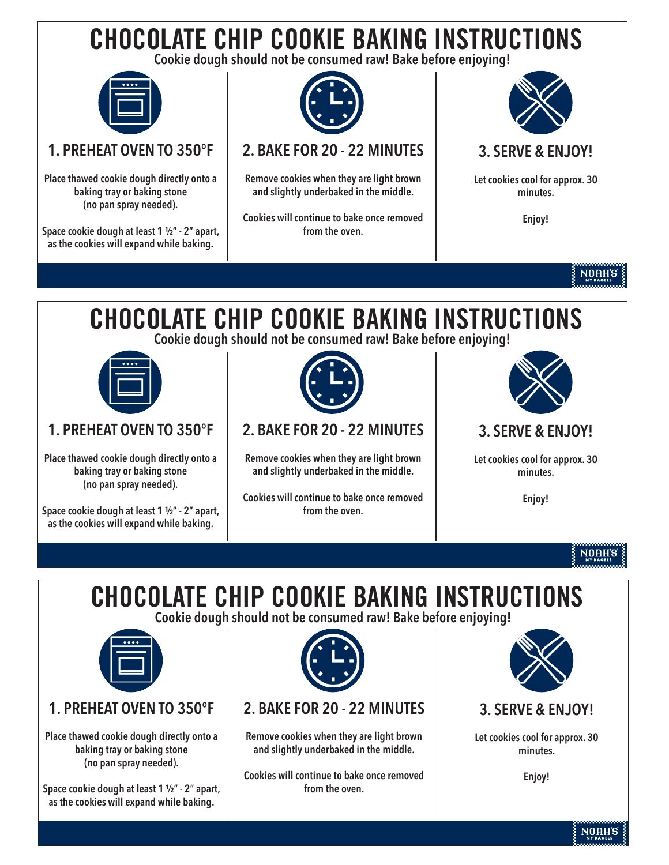# CHOCOLATE CHIP COOKIE BAKING INSTRUCTIONS

**Cookie dough should not be consumed raw! Bake before enjoying!**



## **1. PREHEAT OVEN TO 350°F**

**Place thawed cookie dough directly onto a baking tray or baking stone (no pan spray needed).**

**Space cookie dough at least 1 1/2" - 2" apart, as the cookies will expand while baking.**



# **2. BAKE FOR 20 - 22 MINUTES**

**Remove cookies when they are light brown and slightly underbaked in the middle.** 

**Cookies will continue to bake once removed from the oven.** 



### **3. SERVE & ENJOY!**

**Let cookies cool for approx. 30 minutes.** 

**Enjoy!**